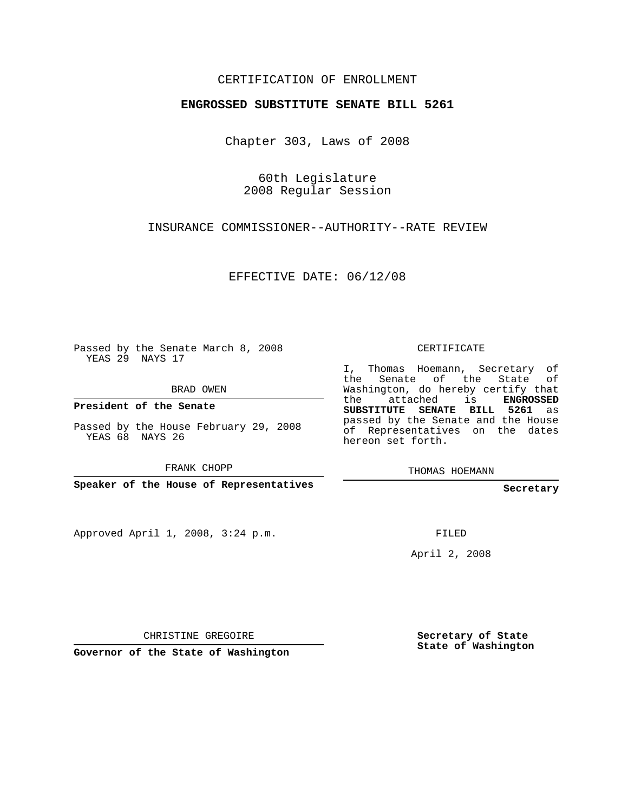## CERTIFICATION OF ENROLLMENT

## **ENGROSSED SUBSTITUTE SENATE BILL 5261**

Chapter 303, Laws of 2008

60th Legislature 2008 Regular Session

INSURANCE COMMISSIONER--AUTHORITY--RATE REVIEW

EFFECTIVE DATE: 06/12/08

Passed by the Senate March 8, 2008 YEAS 29 NAYS 17

BRAD OWEN

**President of the Senate**

Passed by the House February 29, 2008 YEAS 68 NAYS 26

FRANK CHOPP

**Speaker of the House of Representatives**

Approved April 1, 2008, 3:24 p.m.

CERTIFICATE

I, Thomas Hoemann, Secretary of the Senate of the State of Washington, do hereby certify that the attached is **ENGROSSED SUBSTITUTE SENATE BILL 5261** as passed by the Senate and the House of Representatives on the dates hereon set forth.

THOMAS HOEMANN

**Secretary**

FILED

April 2, 2008

CHRISTINE GREGOIRE

**Governor of the State of Washington**

**Secretary of State State of Washington**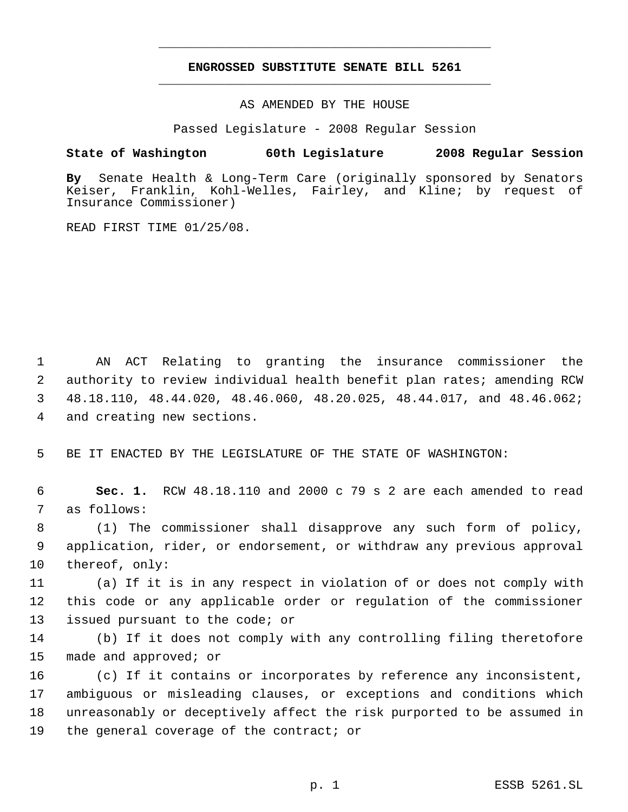## **ENGROSSED SUBSTITUTE SENATE BILL 5261** \_\_\_\_\_\_\_\_\_\_\_\_\_\_\_\_\_\_\_\_\_\_\_\_\_\_\_\_\_\_\_\_\_\_\_\_\_\_\_\_\_\_\_\_\_

\_\_\_\_\_\_\_\_\_\_\_\_\_\_\_\_\_\_\_\_\_\_\_\_\_\_\_\_\_\_\_\_\_\_\_\_\_\_\_\_\_\_\_\_\_

AS AMENDED BY THE HOUSE

Passed Legislature - 2008 Regular Session

## **State of Washington 60th Legislature 2008 Regular Session**

**By** Senate Health & Long-Term Care (originally sponsored by Senators Keiser, Franklin, Kohl-Welles, Fairley, and Kline; by request of Insurance Commissioner)

READ FIRST TIME 01/25/08.

 AN ACT Relating to granting the insurance commissioner the authority to review individual health benefit plan rates; amending RCW 48.18.110, 48.44.020, 48.46.060, 48.20.025, 48.44.017, and 48.46.062; and creating new sections.

BE IT ENACTED BY THE LEGISLATURE OF THE STATE OF WASHINGTON:

 **Sec. 1.** RCW 48.18.110 and 2000 c 79 s 2 are each amended to read as follows:

 (1) The commissioner shall disapprove any such form of policy, application, rider, or endorsement, or withdraw any previous approval thereof, only:

 (a) If it is in any respect in violation of or does not comply with this code or any applicable order or regulation of the commissioner issued pursuant to the code; or

 (b) If it does not comply with any controlling filing theretofore made and approved; or

 (c) If it contains or incorporates by reference any inconsistent, ambiguous or misleading clauses, or exceptions and conditions which unreasonably or deceptively affect the risk purported to be assumed in the general coverage of the contract; or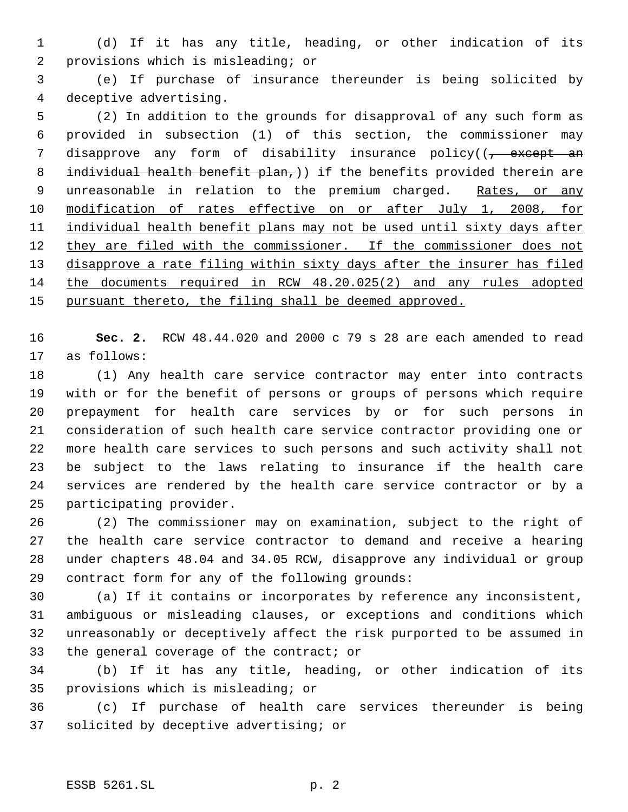(d) If it has any title, heading, or other indication of its provisions which is misleading; or

 (e) If purchase of insurance thereunder is being solicited by deceptive advertising.

 (2) In addition to the grounds for disapproval of any such form as provided in subsection (1) of this section, the commissioner may 7 disapprove any form of disability insurance policy((<del>, except an</del> 8 individual health benefit  $plan<sub>r</sub>$ ) if the benefits provided therein are 9 unreasonable in relation to the premium charged. Rates, or any 10 modification of rates effective on or after July 1, 2008, for 11 individual health benefit plans may not be used until sixty days after 12 they are filed with the commissioner. If the commissioner does not 13 disapprove a rate filing within sixty days after the insurer has filed the documents required in RCW 48.20.025(2) and any rules adopted pursuant thereto, the filing shall be deemed approved.

 **Sec. 2.** RCW 48.44.020 and 2000 c 79 s 28 are each amended to read as follows:

 (1) Any health care service contractor may enter into contracts with or for the benefit of persons or groups of persons which require prepayment for health care services by or for such persons in consideration of such health care service contractor providing one or more health care services to such persons and such activity shall not be subject to the laws relating to insurance if the health care services are rendered by the health care service contractor or by a participating provider.

 (2) The commissioner may on examination, subject to the right of the health care service contractor to demand and receive a hearing under chapters 48.04 and 34.05 RCW, disapprove any individual or group contract form for any of the following grounds:

 (a) If it contains or incorporates by reference any inconsistent, ambiguous or misleading clauses, or exceptions and conditions which unreasonably or deceptively affect the risk purported to be assumed in 33 the general coverage of the contract; or

 (b) If it has any title, heading, or other indication of its provisions which is misleading; or

 (c) If purchase of health care services thereunder is being solicited by deceptive advertising; or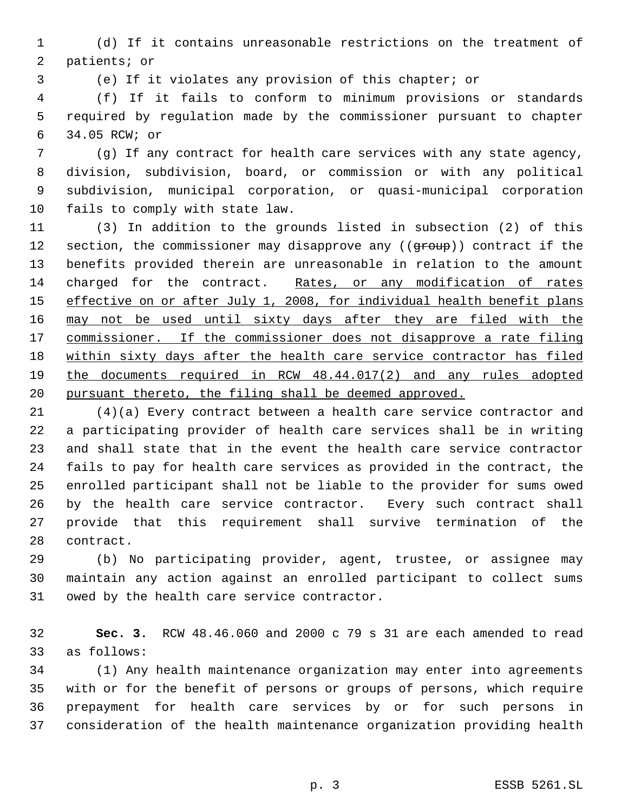(d) If it contains unreasonable restrictions on the treatment of patients; or

(e) If it violates any provision of this chapter; or

 (f) If it fails to conform to minimum provisions or standards required by regulation made by the commissioner pursuant to chapter 34.05 RCW; or

 (g) If any contract for health care services with any state agency, division, subdivision, board, or commission or with any political subdivision, municipal corporation, or quasi-municipal corporation fails to comply with state law.

 (3) In addition to the grounds listed in subsection (2) of this 12 section, the commissioner may disapprove any ((group)) contract if the benefits provided therein are unreasonable in relation to the amount charged for the contract. Rates, or any modification of rates 15 effective on or after July 1, 2008, for individual health benefit plans may not be used until sixty days after they are filed with the 17 commissioner. If the commissioner does not disapprove a rate filing within sixty days after the health care service contractor has filed the documents required in RCW 48.44.017(2) and any rules adopted pursuant thereto, the filing shall be deemed approved.

 (4)(a) Every contract between a health care service contractor and a participating provider of health care services shall be in writing and shall state that in the event the health care service contractor fails to pay for health care services as provided in the contract, the enrolled participant shall not be liable to the provider for sums owed by the health care service contractor. Every such contract shall provide that this requirement shall survive termination of the contract.

 (b) No participating provider, agent, trustee, or assignee may maintain any action against an enrolled participant to collect sums owed by the health care service contractor.

 **Sec. 3.** RCW 48.46.060 and 2000 c 79 s 31 are each amended to read as follows:

 (1) Any health maintenance organization may enter into agreements with or for the benefit of persons or groups of persons, which require prepayment for health care services by or for such persons in consideration of the health maintenance organization providing health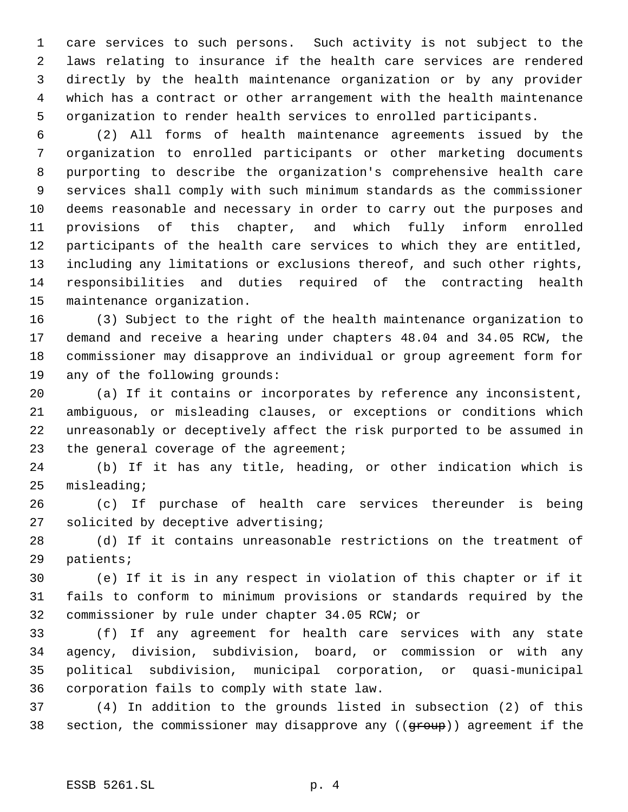care services to such persons. Such activity is not subject to the laws relating to insurance if the health care services are rendered directly by the health maintenance organization or by any provider which has a contract or other arrangement with the health maintenance organization to render health services to enrolled participants.

 (2) All forms of health maintenance agreements issued by the organization to enrolled participants or other marketing documents purporting to describe the organization's comprehensive health care services shall comply with such minimum standards as the commissioner deems reasonable and necessary in order to carry out the purposes and provisions of this chapter, and which fully inform enrolled participants of the health care services to which they are entitled, including any limitations or exclusions thereof, and such other rights, responsibilities and duties required of the contracting health maintenance organization.

 (3) Subject to the right of the health maintenance organization to demand and receive a hearing under chapters 48.04 and 34.05 RCW, the commissioner may disapprove an individual or group agreement form for any of the following grounds:

 (a) If it contains or incorporates by reference any inconsistent, ambiguous, or misleading clauses, or exceptions or conditions which unreasonably or deceptively affect the risk purported to be assumed in 23 the general coverage of the agreement;

 (b) If it has any title, heading, or other indication which is misleading;

 (c) If purchase of health care services thereunder is being solicited by deceptive advertising;

 (d) If it contains unreasonable restrictions on the treatment of patients;

 (e) If it is in any respect in violation of this chapter or if it fails to conform to minimum provisions or standards required by the commissioner by rule under chapter 34.05 RCW; or

 (f) If any agreement for health care services with any state agency, division, subdivision, board, or commission or with any political subdivision, municipal corporation, or quasi-municipal corporation fails to comply with state law.

 (4) In addition to the grounds listed in subsection (2) of this 38 section, the commissioner may disapprove any ((group)) agreement if the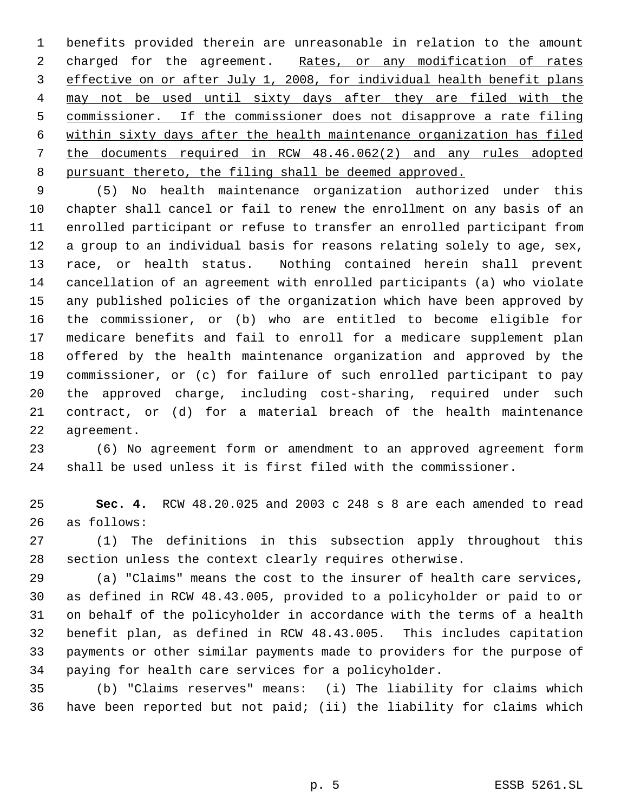benefits provided therein are unreasonable in relation to the amount 2 charged for the agreement. Rates, or any modification of rates effective on or after July 1, 2008, for individual health benefit plans may not be used until sixty days after they are filed with the commissioner. If the commissioner does not disapprove a rate filing within sixty days after the health maintenance organization has filed the documents required in RCW 48.46.062(2) and any rules adopted pursuant thereto, the filing shall be deemed approved.

 (5) No health maintenance organization authorized under this chapter shall cancel or fail to renew the enrollment on any basis of an enrolled participant or refuse to transfer an enrolled participant from a group to an individual basis for reasons relating solely to age, sex, race, or health status. Nothing contained herein shall prevent cancellation of an agreement with enrolled participants (a) who violate any published policies of the organization which have been approved by the commissioner, or (b) who are entitled to become eligible for medicare benefits and fail to enroll for a medicare supplement plan offered by the health maintenance organization and approved by the commissioner, or (c) for failure of such enrolled participant to pay the approved charge, including cost-sharing, required under such contract, or (d) for a material breach of the health maintenance agreement.

 (6) No agreement form or amendment to an approved agreement form shall be used unless it is first filed with the commissioner.

 **Sec. 4.** RCW 48.20.025 and 2003 c 248 s 8 are each amended to read as follows:

 (1) The definitions in this subsection apply throughout this section unless the context clearly requires otherwise.

 (a) "Claims" means the cost to the insurer of health care services, as defined in RCW 48.43.005, provided to a policyholder or paid to or on behalf of the policyholder in accordance with the terms of a health benefit plan, as defined in RCW 48.43.005. This includes capitation payments or other similar payments made to providers for the purpose of paying for health care services for a policyholder.

 (b) "Claims reserves" means: (i) The liability for claims which have been reported but not paid; (ii) the liability for claims which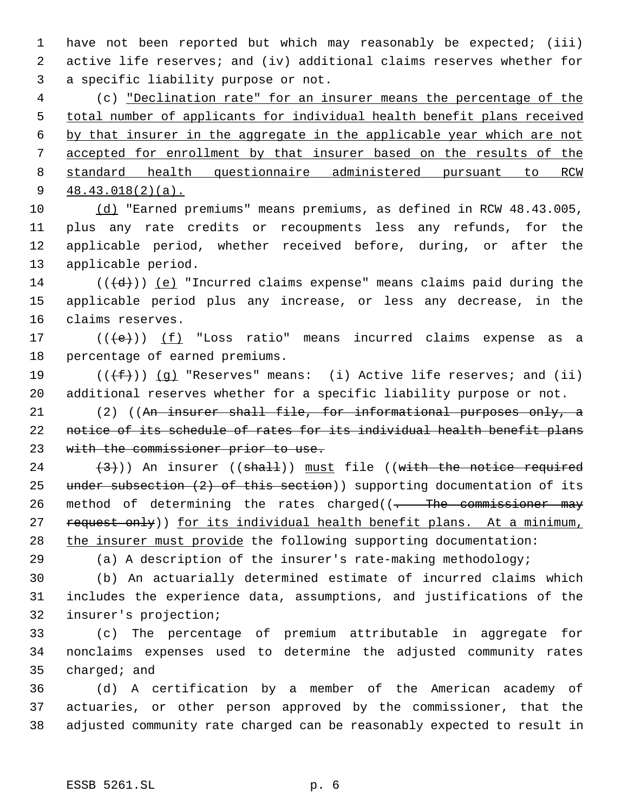have not been reported but which may reasonably be expected; (iii) active life reserves; and (iv) additional claims reserves whether for a specific liability purpose or not.

 (c) "Declination rate" for an insurer means the percentage of the total number of applicants for individual health benefit plans received by that insurer in the aggregate in the applicable year which are not accepted for enrollment by that insurer based on the results of the standard health questionnaire administered pursuant to RCW 48.43.018(2)(a).

 (d) "Earned premiums" means premiums, as defined in RCW 48.43.005, plus any rate credits or recoupments less any refunds, for the applicable period, whether received before, during, or after the applicable period.

14 ( $(\overline{d})$ ) (e) "Incurred claims expense" means claims paid during the applicable period plus any increase, or less any decrease, in the claims reserves.

17  $((\{e\})$   $(f)$  "Loss ratio" means incurred claims expense as a percentage of earned premiums.

19  $((\text{+f}))(q)$  "Reserves" means: (i) Active life reserves; and (ii) additional reserves whether for a specific liability purpose or not.

 (2) ((An insurer shall file, for informational purposes only, a notice of its schedule of rates for its individual health benefit plans 23 with the commissioner prior to use.

 $(3)$ )) An insurer ((shall)) must file ((with the notice required 25 under subsection (2) of this section)) supporting documentation of its 26 method of determining the rates charged( $\frac{1}{1}$  The commissioner may 27 request only)) for its individual health benefit plans. At a minimum, 28 the insurer must provide the following supporting documentation:

(a) A description of the insurer's rate-making methodology;

 (b) An actuarially determined estimate of incurred claims which includes the experience data, assumptions, and justifications of the insurer's projection;

 (c) The percentage of premium attributable in aggregate for nonclaims expenses used to determine the adjusted community rates charged; and

 (d) A certification by a member of the American academy of actuaries, or other person approved by the commissioner, that the adjusted community rate charged can be reasonably expected to result in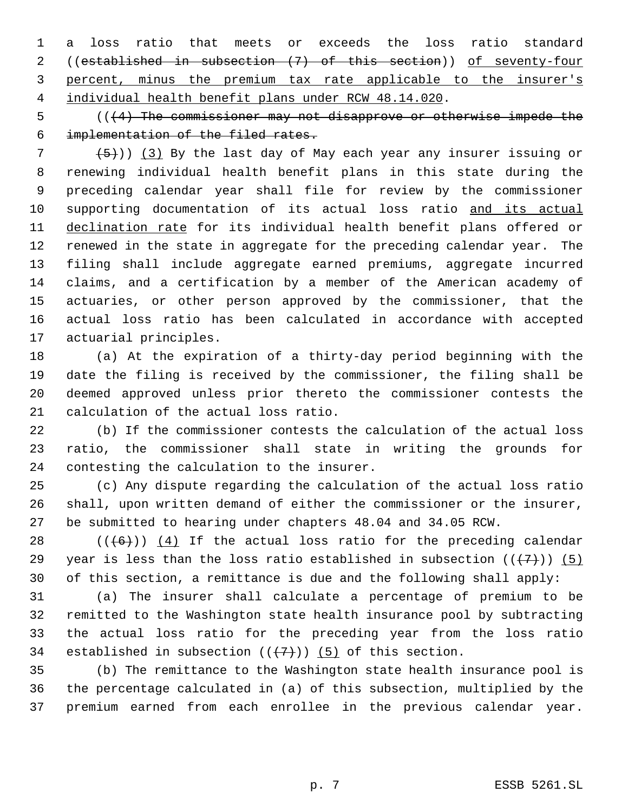a loss ratio that meets or exceeds the loss ratio standard ((established in subsection (7) of this section)) of seventy-four percent, minus the premium tax rate applicable to the insurer's individual health benefit plans under RCW 48.14.020.

 (((4) The commissioner may not disapprove or otherwise impede the implementation of the filed rates.

  $(5)$ )) (3) By the last day of May each year any insurer issuing or renewing individual health benefit plans in this state during the preceding calendar year shall file for review by the commissioner 10 supporting documentation of its actual loss ratio and its actual 11 declination rate for its individual health benefit plans offered or renewed in the state in aggregate for the preceding calendar year. The filing shall include aggregate earned premiums, aggregate incurred claims, and a certification by a member of the American academy of actuaries, or other person approved by the commissioner, that the actual loss ratio has been calculated in accordance with accepted actuarial principles.

 (a) At the expiration of a thirty-day period beginning with the date the filing is received by the commissioner, the filing shall be deemed approved unless prior thereto the commissioner contests the calculation of the actual loss ratio.

 (b) If the commissioner contests the calculation of the actual loss ratio, the commissioner shall state in writing the grounds for contesting the calculation to the insurer.

 (c) Any dispute regarding the calculation of the actual loss ratio shall, upon written demand of either the commissioner or the insurer, be submitted to hearing under chapters 48.04 and 34.05 RCW.

28  $((+6))$   $(4)$  If the actual loss ratio for the preceding calendar 29 year is less than the loss ratio established in subsection  $((+7))$  (5) of this section, a remittance is due and the following shall apply:

 (a) The insurer shall calculate a percentage of premium to be remitted to the Washington state health insurance pool by subtracting the actual loss ratio for the preceding year from the loss ratio 34 established in subsection  $((+7))$  (5) of this section.

 (b) The remittance to the Washington state health insurance pool is the percentage calculated in (a) of this subsection, multiplied by the premium earned from each enrollee in the previous calendar year.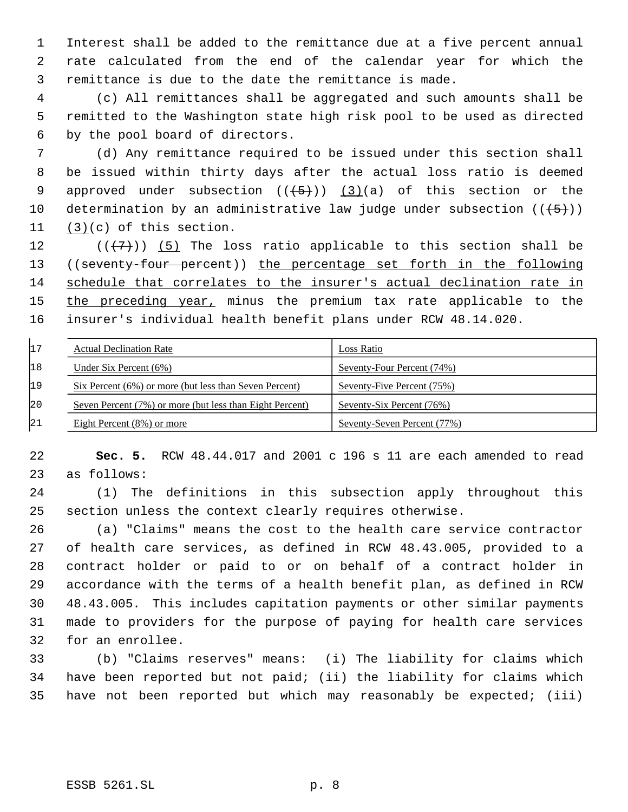Interest shall be added to the remittance due at a five percent annual rate calculated from the end of the calendar year for which the remittance is due to the date the remittance is made.

 (c) All remittances shall be aggregated and such amounts shall be remitted to the Washington state high risk pool to be used as directed by the pool board of directors.

 (d) Any remittance required to be issued under this section shall be issued within thirty days after the actual loss ratio is deemed 9 approved under subsection  $((+5))$   $(3)(a)$  of this section or the 10 determination by an administrative law judge under subsection  $((+5))$ (3)(c) of this section.

 $((+7))$  (5) The loss ratio applicable to this section shall be ((seventy-four percent)) the percentage set forth in the following schedule that correlates to the insurer's actual declination rate in 15 the preceding year, minus the premium tax rate applicable to the insurer's individual health benefit plans under RCW 48.14.020.

| 17  | <b>Actual Declination Rate</b>                           | Loss Ratio                  |
|-----|----------------------------------------------------------|-----------------------------|
| 18  | Under Six Percent $(6\%)$                                | Seventy-Four Percent (74%)  |
| 19  | Six Percent (6%) or more (but less than Seven Percent)   | Seventy-Five Percent (75%)  |
| 120 | Seven Percent (7%) or more (but less than Eight Percent) | Seventy-Six Percent (76%)   |
| 21  | Eight Percent $(8\%)$ or more                            | Seventy-Seven Percent (77%) |

 **Sec. 5.** RCW 48.44.017 and 2001 c 196 s 11 are each amended to read as follows:

 (1) The definitions in this subsection apply throughout this section unless the context clearly requires otherwise.

 (a) "Claims" means the cost to the health care service contractor of health care services, as defined in RCW 48.43.005, provided to a contract holder or paid to or on behalf of a contract holder in accordance with the terms of a health benefit plan, as defined in RCW 48.43.005. This includes capitation payments or other similar payments made to providers for the purpose of paying for health care services for an enrollee.

 (b) "Claims reserves" means: (i) The liability for claims which have been reported but not paid; (ii) the liability for claims which have not been reported but which may reasonably be expected; (iii)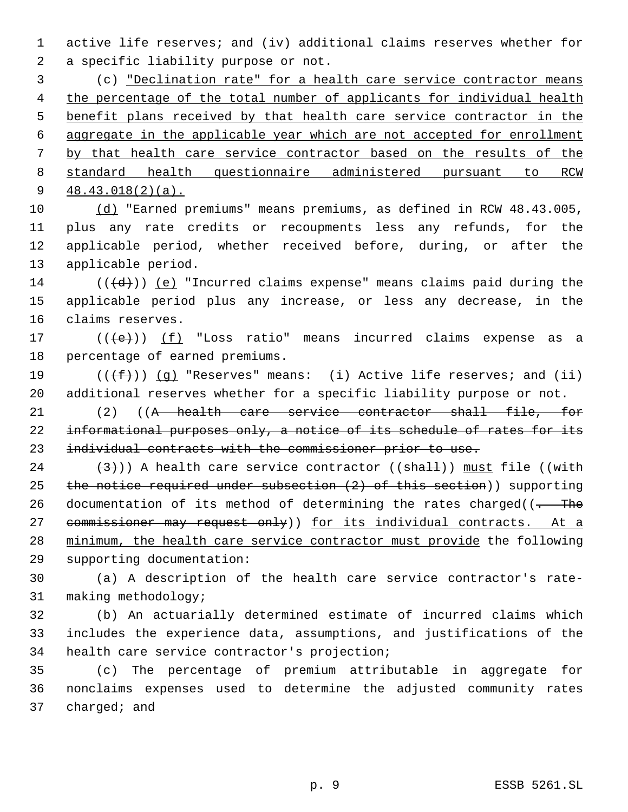active life reserves; and (iv) additional claims reserves whether for a specific liability purpose or not.

 (c) "Declination rate" for a health care service contractor means the percentage of the total number of applicants for individual health benefit plans received by that health care service contractor in the aggregate in the applicable year which are not accepted for enrollment by that health care service contractor based on the results of the standard health questionnaire administered pursuant to RCW 9 48.43.018(2)(a).

 (d) "Earned premiums" means premiums, as defined in RCW 48.43.005, plus any rate credits or recoupments less any refunds, for the applicable period, whether received before, during, or after the applicable period.

14 ( $(\overline{d})$ ) (e) "Incurred claims expense" means claims paid during the applicable period plus any increase, or less any decrease, in the claims reserves.

17  $((e))$   $(f)$  "Loss ratio" means incurred claims expense as a percentage of earned premiums.

19  $((\text{+f}))(q)$  "Reserves" means: (i) Active life reserves; and (ii) additional reserves whether for a specific liability purpose or not.

 (2) ((A health care service contractor shall file, for 22 informational purposes only, a notice of its schedule of rates for its individual contracts with the commissioner prior to use.

24  $(3)$ )) A health care service contractor ((shall)) must file ((with 25 the notice required under subsection (2) of this section)) supporting 26 documentation of its method of determining the rates charged( $\frac{1}{1+\frac{1}{1+\epsilon}}$ 27 commissioner may request only)) for its individual contracts. At a minimum, the health care service contractor must provide the following supporting documentation:

 (a) A description of the health care service contractor's rate-making methodology;

 (b) An actuarially determined estimate of incurred claims which includes the experience data, assumptions, and justifications of the health care service contractor's projection;

 (c) The percentage of premium attributable in aggregate for nonclaims expenses used to determine the adjusted community rates charged; and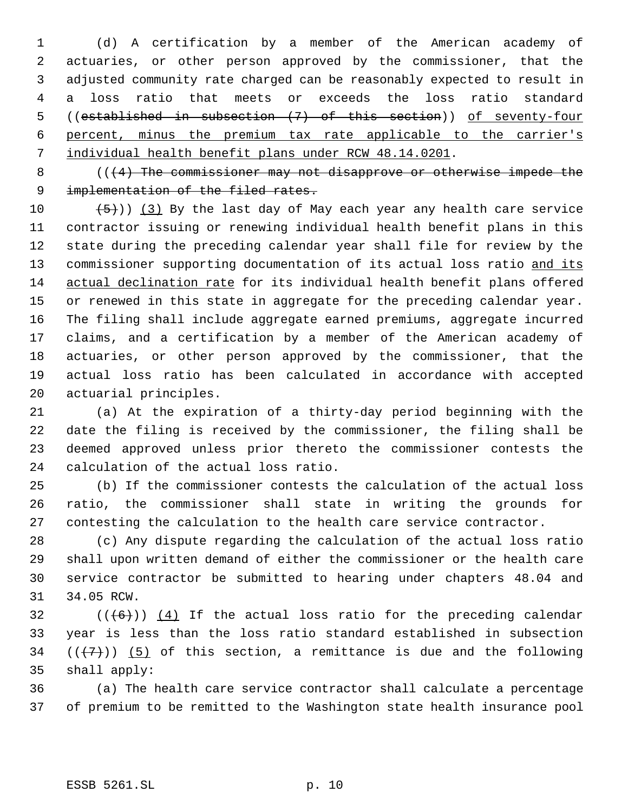(d) A certification by a member of the American academy of actuaries, or other person approved by the commissioner, that the adjusted community rate charged can be reasonably expected to result in a loss ratio that meets or exceeds the loss ratio standard ((established in subsection (7) of this section)) of seventy-four percent, minus the premium tax rate applicable to the carrier's individual health benefit plans under RCW 48.14.0201.

8 (((4) The commissioner may not disapprove or otherwise impede the 9 implementation of the filed rates.

 $(5)$ )) (3) By the last day of May each year any health care service contractor issuing or renewing individual health benefit plans in this state during the preceding calendar year shall file for review by the 13 commissioner supporting documentation of its actual loss ratio and its actual declination rate for its individual health benefit plans offered or renewed in this state in aggregate for the preceding calendar year. The filing shall include aggregate earned premiums, aggregate incurred claims, and a certification by a member of the American academy of actuaries, or other person approved by the commissioner, that the actual loss ratio has been calculated in accordance with accepted actuarial principles.

 (a) At the expiration of a thirty-day period beginning with the date the filing is received by the commissioner, the filing shall be deemed approved unless prior thereto the commissioner contests the calculation of the actual loss ratio.

 (b) If the commissioner contests the calculation of the actual loss ratio, the commissioner shall state in writing the grounds for contesting the calculation to the health care service contractor.

 (c) Any dispute regarding the calculation of the actual loss ratio shall upon written demand of either the commissioner or the health care service contractor be submitted to hearing under chapters 48.04 and 34.05 RCW.

 (( $(6)$ )) (4) If the actual loss ratio for the preceding calendar year is less than the loss ratio standard established in subsection  $((+7))$  (5) of this section, a remittance is due and the following shall apply:

 (a) The health care service contractor shall calculate a percentage of premium to be remitted to the Washington state health insurance pool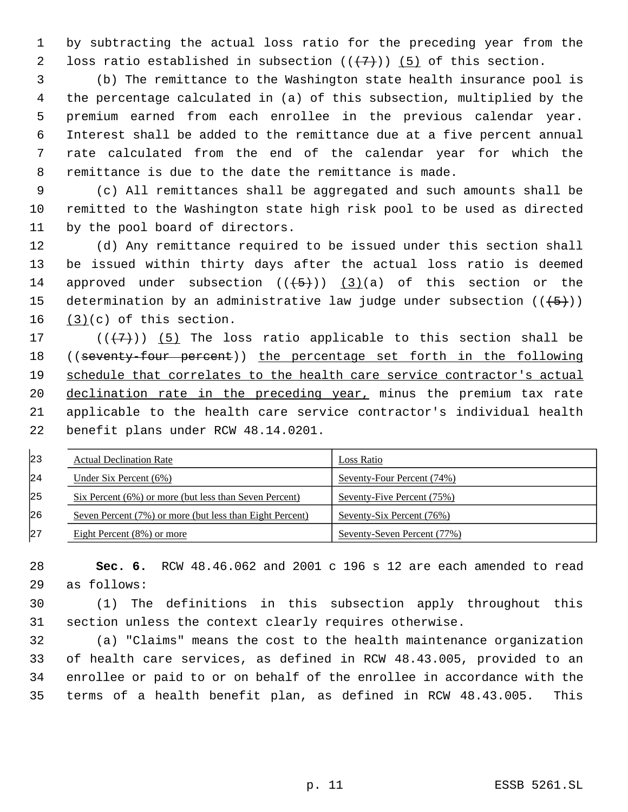by subtracting the actual loss ratio for the preceding year from the 2 loss ratio established in subsection  $((+7))$  (5) of this section.

 (b) The remittance to the Washington state health insurance pool is the percentage calculated in (a) of this subsection, multiplied by the premium earned from each enrollee in the previous calendar year. Interest shall be added to the remittance due at a five percent annual rate calculated from the end of the calendar year for which the remittance is due to the date the remittance is made.

 (c) All remittances shall be aggregated and such amounts shall be remitted to the Washington state high risk pool to be used as directed by the pool board of directors.

 (d) Any remittance required to be issued under this section shall be issued within thirty days after the actual loss ratio is deemed 14 approved under subsection  $((+5+))$  (3)(a) of this section or the 15 determination by an administrative law judge under subsection  $((+5))$ 16  $(3)(c)$  of this section.

 $((+7+))$  (5) The loss ratio applicable to this section shall be ((seventy-four percent)) the percentage set forth in the following 19 schedule that correlates to the health care service contractor's actual 20 declination rate in the preceding year, minus the premium tax rate applicable to the health care service contractor's individual health benefit plans under RCW 48.14.0201.

| 23          | <b>Actual Declination Rate</b>                           | Loss Ratio                  |
|-------------|----------------------------------------------------------|-----------------------------|
| $\sqrt{24}$ | Under Six Percent $(6\%)$                                | Seventy-Four Percent (74%)  |
| 125         | Six Percent (6%) or more (but less than Seven Percent)   | Seventy-Five Percent (75%)  |
| 126         | Seven Percent (7%) or more (but less than Eight Percent) | Seventy-Six Percent (76%)   |
| 127         | Eight Percent $(8\%)$ or more                            | Seventy-Seven Percent (77%) |

 **Sec. 6.** RCW 48.46.062 and 2001 c 196 s 12 are each amended to read as follows:

 (1) The definitions in this subsection apply throughout this section unless the context clearly requires otherwise.

 (a) "Claims" means the cost to the health maintenance organization of health care services, as defined in RCW 48.43.005, provided to an enrollee or paid to or on behalf of the enrollee in accordance with the terms of a health benefit plan, as defined in RCW 48.43.005. This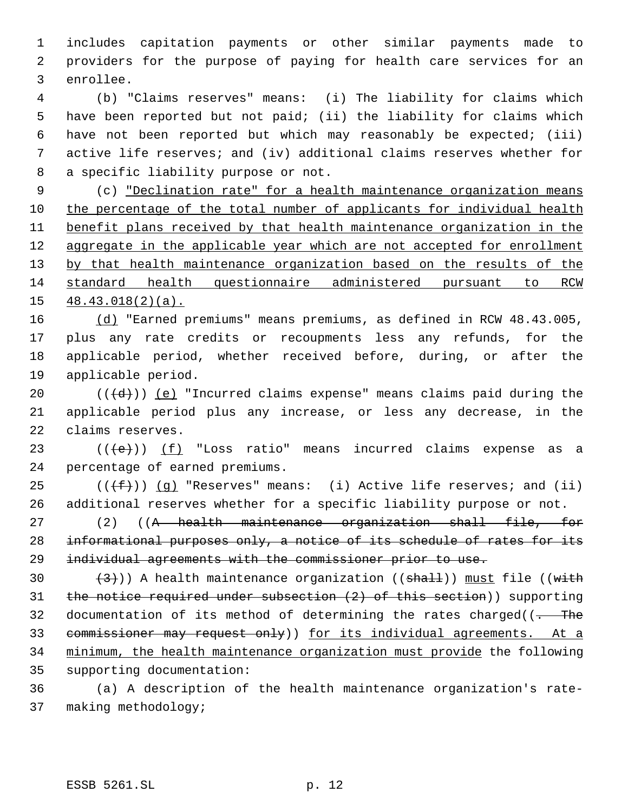includes capitation payments or other similar payments made to providers for the purpose of paying for health care services for an enrollee.

 (b) "Claims reserves" means: (i) The liability for claims which have been reported but not paid; (ii) the liability for claims which have not been reported but which may reasonably be expected; (iii) active life reserves; and (iv) additional claims reserves whether for a specific liability purpose or not.

 (c) "Declination rate" for a health maintenance organization means the percentage of the total number of applicants for individual health benefit plans received by that health maintenance organization in the aggregate in the applicable year which are not accepted for enrollment 13 by that health maintenance organization based on the results of the standard health questionnaire administered pursuant to RCW 48.43.018(2)(a).

 (d) "Earned premiums" means premiums, as defined in RCW 48.43.005, plus any rate credits or recoupments less any refunds, for the applicable period, whether received before, during, or after the applicable period.

20  $((\{d\}))(e)$  "Incurred claims expense" means claims paid during the applicable period plus any increase, or less any decrease, in the claims reserves.

23  $((e))$   $(f)$  "Loss ratio" means incurred claims expense as a percentage of earned premiums.

25 ( $(\overline{f})$ ) (q) "Reserves" means: (i) Active life reserves; and (ii) additional reserves whether for a specific liability purpose or not.

 (2) ((A health maintenance organization shall file, for 28 informational purposes only, a notice of its schedule of rates for its individual agreements with the commissioner prior to use.

 $(3)$ ) A health maintenance organization (( $\frac{1}{10}$ ) must file (( $\frac{1}{10}$ ) the notice required under subsection (2) of this section)) supporting 32 documentation of its method of determining the rates charged( $\left(-\right)$ The 33 commissioner may request only)) for its individual agreements. At a minimum, the health maintenance organization must provide the following supporting documentation:

 (a) A description of the health maintenance organization's rate-making methodology;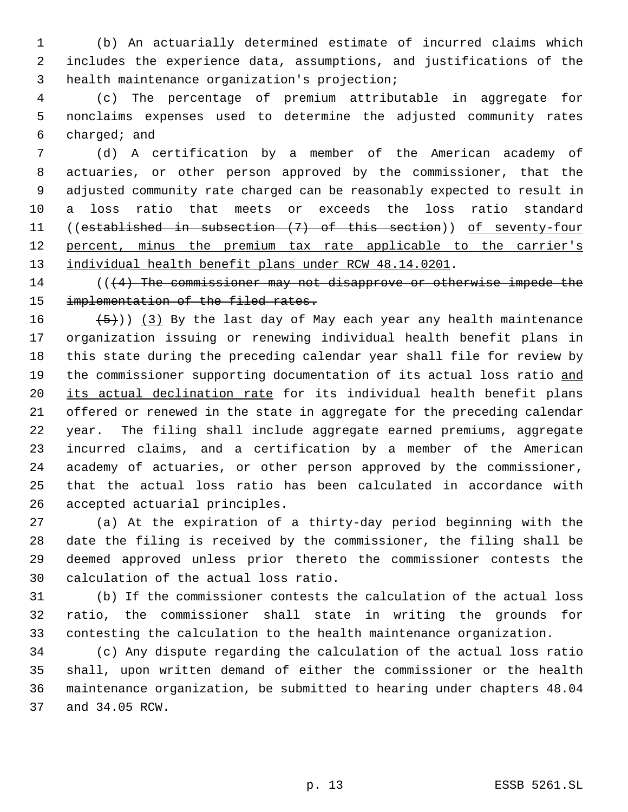(b) An actuarially determined estimate of incurred claims which includes the experience data, assumptions, and justifications of the health maintenance organization's projection;

 (c) The percentage of premium attributable in aggregate for nonclaims expenses used to determine the adjusted community rates charged; and

 (d) A certification by a member of the American academy of actuaries, or other person approved by the commissioner, that the adjusted community rate charged can be reasonably expected to result in a loss ratio that meets or exceeds the loss ratio standard ((established in subsection (7) of this section)) of seventy-four 12 percent, minus the premium tax rate applicable to the carrier's 13 individual health benefit plans under RCW 48.14.0201.

14 (((4) The commissioner may not disapprove or otherwise impede the 15 implementation of the filed rates.

 $(5)$ ) (3) By the last day of May each year any health maintenance organization issuing or renewing individual health benefit plans in this state during the preceding calendar year shall file for review by 19 the commissioner supporting documentation of its actual loss ratio and 20 its actual declination rate for its individual health benefit plans offered or renewed in the state in aggregate for the preceding calendar year. The filing shall include aggregate earned premiums, aggregate incurred claims, and a certification by a member of the American academy of actuaries, or other person approved by the commissioner, that the actual loss ratio has been calculated in accordance with accepted actuarial principles.

 (a) At the expiration of a thirty-day period beginning with the date the filing is received by the commissioner, the filing shall be deemed approved unless prior thereto the commissioner contests the calculation of the actual loss ratio.

 (b) If the commissioner contests the calculation of the actual loss ratio, the commissioner shall state in writing the grounds for contesting the calculation to the health maintenance organization.

 (c) Any dispute regarding the calculation of the actual loss ratio shall, upon written demand of either the commissioner or the health maintenance organization, be submitted to hearing under chapters 48.04 and 34.05 RCW.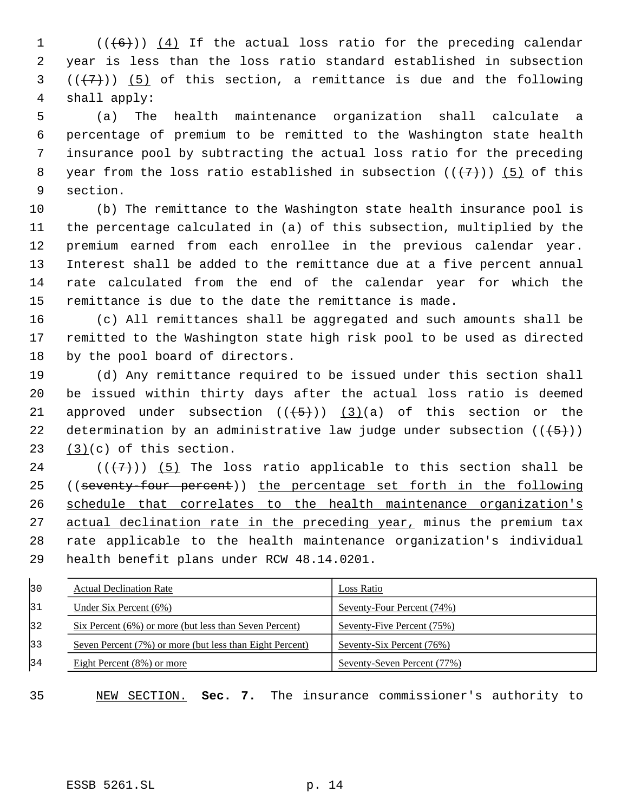$((+6))$   $(4)$  If the actual loss ratio for the preceding calendar year is less than the loss ratio standard established in subsection  $((+7))$   $(5)$  of this section, a remittance is due and the following shall apply:

 (a) The health maintenance organization shall calculate a percentage of premium to be remitted to the Washington state health insurance pool by subtracting the actual loss ratio for the preceding 8 year from the loss ratio established in subsection  $((+7))$  (5) of this section.

 (b) The remittance to the Washington state health insurance pool is the percentage calculated in (a) of this subsection, multiplied by the premium earned from each enrollee in the previous calendar year. Interest shall be added to the remittance due at a five percent annual rate calculated from the end of the calendar year for which the remittance is due to the date the remittance is made.

 (c) All remittances shall be aggregated and such amounts shall be remitted to the Washington state high risk pool to be used as directed by the pool board of directors.

 (d) Any remittance required to be issued under this section shall be issued within thirty days after the actual loss ratio is deemed 21 approved under subsection  $((+5+))$  (3)(a) of this section or the 22 determination by an administrative law judge under subsection  $((+5))$ (3)(c) of this section.

24 ( $(\overline{\{7\}})$ ) (5) The loss ratio applicable to this section shall be ((seventy-four percent)) the percentage set forth in the following 26 schedule that correlates to the health maintenance organization's 27 actual declination rate in the preceding year, minus the premium tax rate applicable to the health maintenance organization's individual health benefit plans under RCW 48.14.0201.

| 30    | <b>Actual Declination Rate</b>                           | Loss Ratio                  |
|-------|----------------------------------------------------------|-----------------------------|
| 31    | Under Six Percent $(6\%)$                                | Seventy-Four Percent (74%)  |
| $ 32$ | Six Percent (6%) or more (but less than Seven Percent)   | Seventy-Five Percent (75%)  |
| 33    | Seven Percent (7%) or more (but less than Eight Percent) | Seventy-Six Percent (76%)   |
| 34    | Eight Percent $(8\%)$ or more                            | Seventy-Seven Percent (77%) |

NEW SECTION. **Sec. 7.** The insurance commissioner's authority to